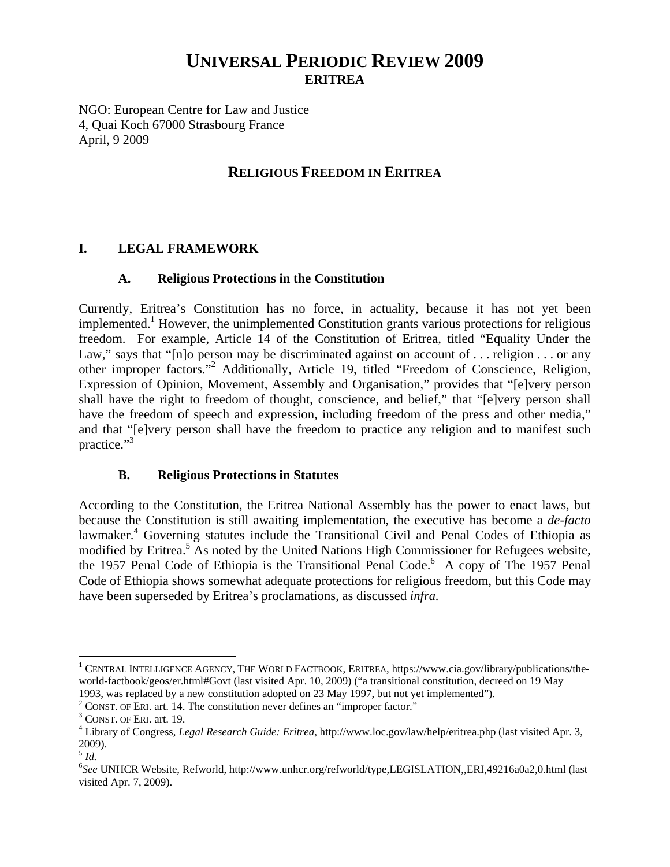# **UNIVERSAL PERIODIC REVIEW 2009 ERITREA**

NGO: European Centre for Law and Justice 4, Quai Koch 67000 Strasbourg France April, 9 2009

## **RELIGIOUS FREEDOM IN ERITREA**

## **I. LEGAL FRAMEWORK**

#### **A. Religious Protections in the Constitution**

Currently, Eritrea's Constitution has no force, in actuality, because it has not yet been implemented.<sup>1</sup> However, the unimplemented Constitution grants various protections for religious freedom. For example, Article 14 of the Constitution of Eritrea, titled "Equality Under the Law," says that "[n]o person may be discriminated against on account of ... religion ... or any other improper factors."<sup>2</sup> Additionally, Article 19, titled "Freedom of Conscience, Religion, Expression of Opinion, Movement, Assembly and Organisation," provides that "[e]very person shall have the right to freedom of thought, conscience, and belief," that "[e]very person shall have the freedom of speech and expression, including freedom of the press and other media," and that "[e]very person shall have the freedom to practice any religion and to manifest such practice."<sup>3</sup>

#### **B. Religious Protections in Statutes**

According to the Constitution, the Eritrea National Assembly has the power to enact laws, but because the Constitution is still awaiting implementation, the executive has become a *de-facto* lawmaker.<sup>4</sup> Governing statutes include the Transitional Civil and Penal Codes of Ethiopia as modified by Eritrea.<sup>5</sup> As noted by the United Nations High Commissioner for Refugees website, the 1957 Penal Code of Ethiopia is the Transitional Penal Code.<sup>6</sup> A copy of The 1957 Penal Code of Ethiopia shows somewhat adequate protections for religious freedom, but this Code may have been superseded by Eritrea's proclamations, as discussed *infra.*

 $\overline{a}$ 

<sup>&</sup>lt;sup>1</sup> CENTRAL INTELLIGENCE AGENCY, THE WORLD FACTBOOK, ERITREA, https://www.cia.gov/library/publications/theworld-factbook/geos/er.html#Govt (last visited Apr. 10, 2009) ("a transitional constitution, decreed on 19 May 1993, was replaced by a new constitution adopted on 23 May 1997, but not yet implemented"). 2

 $\frac{2}{3}$  CONST. OF ERI. art. 14. The constitution never defines an "improper factor."

 $3$  CONST. OF ERI. art. 19.

Library of Congress, *Legal Research Guide: Eritrea*, http://www.loc.gov/law/help/eritrea.php (last visited Apr. 3, 2009).

<sup>5</sup> *Id.*

<sup>6</sup> *See* UNHCR Website, Refworld, http://www.unhcr.org/refworld/type,LEGISLATION,,ERI,49216a0a2,0.html (last visited Apr. 7, 2009).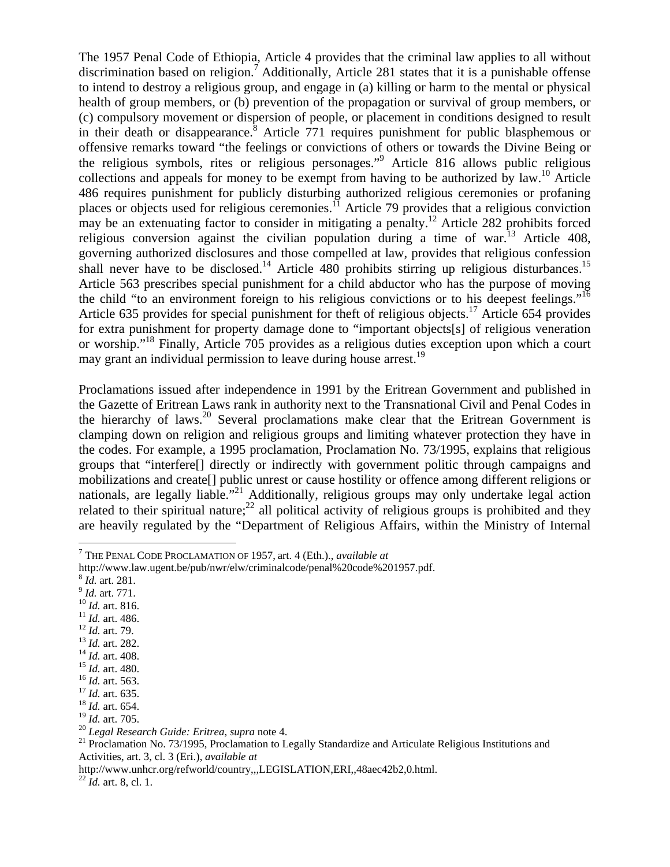The 1957 Penal Code of Ethiopia, Article 4 provides that the criminal law applies to all without discrimination based on religion.<sup>7</sup> Additionally, Article 281 states that it is a punishable offense to intend to destroy a religious group, and engage in (a) killing or harm to the mental or physical health of group members, or (b) prevention of the propagation or survival of group members, or (c) compulsory movement or dispersion of people, or placement in conditions designed to result in their death or disappearance.<sup>8</sup> Article  $771$  requires punishment for public blasphemous or offensive remarks toward "the feelings or convictions of others or towards the Divine Being or the religious symbols, rites or religious personages."<sup>9</sup> Article 816 allows public religious collections and appeals for money to be exempt from having to be authorized by  $law$ .<sup>10</sup> Article 486 requires punishment for publicly disturbing authorized religious ceremonies or profaning places or objects used for religious ceremonies.<sup>11</sup> Article 79 provides that a religious conviction may be an extenuating factor to consider in mitigating a penalty.<sup>12</sup> Article 282 prohibits forced religious conversion against the civilian population during a time of war.<sup>13</sup> Article 408, governing authorized disclosures and those compelled at law, provides that religious confession shall never have to be disclosed.<sup>14</sup> Article 480 prohibits stirring up religious disturbances.<sup>15</sup> Article 563 prescribes special punishment for a child abductor who has the purpose of moving the child "to an environment foreign to his religious convictions or to his deepest feelings."<sup>16</sup> Article 635 provides for special punishment for theft of religious objects.<sup>17</sup> Article 654 provides for extra punishment for property damage done to "important objects[s] of religious veneration or worship."18 Finally, Article 705 provides as a religious duties exception upon which a court may grant an individual permission to leave during house arrest.<sup>19</sup>

Proclamations issued after independence in 1991 by the Eritrean Government and published in the Gazette of Eritrean Laws rank in authority next to the Transnational Civil and Penal Codes in the hierarchy of laws.20 Several proclamations make clear that the Eritrean Government is clamping down on religion and religious groups and limiting whatever protection they have in the codes. For example, a 1995 proclamation, Proclamation No. 73/1995, explains that religious groups that "interfere[] directly or indirectly with government politic through campaigns and mobilizations and create[] public unrest or cause hostility or offence among different religions or nationals, are legally liable."<sup>21</sup> Additionally, religious groups may only undertake legal action related to their spiritual nature;<sup>22</sup> all political activity of religious groups is prohibited and they are heavily regulated by the "Department of Religious Affairs, within the Ministry of Internal

 $\overline{a}$ 

- 
- 
- 
- 
- 
- 
- 
- 
- 
- 

<sup>7</sup> THE PENAL CODE PROCLAMATION OF 1957, art. 4 (Eth.)., *available at*

http://www.law.ugent.be/pub/nwr/elw/criminalcode/penal%20code%201957.pdf.<br><sup>8</sup> *Id.* art. 281.<br><sup>9</sup> *Id.* art. 771.<br><sup>10</sup> *Id.* art. 816.<br><sup>11</sup> *Id.* art. 486.<br><sup>12</sup> *Id.* art. 486.<br><sup>12</sup> *Id.* art. 486.<br><sup>13</sup> *Id.* art. 282.<br><sup>14</sup>

<sup>&</sup>lt;sup>19</sup> *Id.* art. 705.<br><sup>20</sup> *Legal Research Guide: Eritrea, supra* note 4.<br><sup>21</sup> Proclamation No. 73/1995, Proclamation to Legally Standardize and Articulate Religious Institutions and Activities, art. 3, cl. 3 (Eri.), *available at*

http://www.unhcr.org/refworld/country,,,LEGISLATION,ERI,,48aec42b2,0.html. 22 *Id.* art. 8, cl. 1.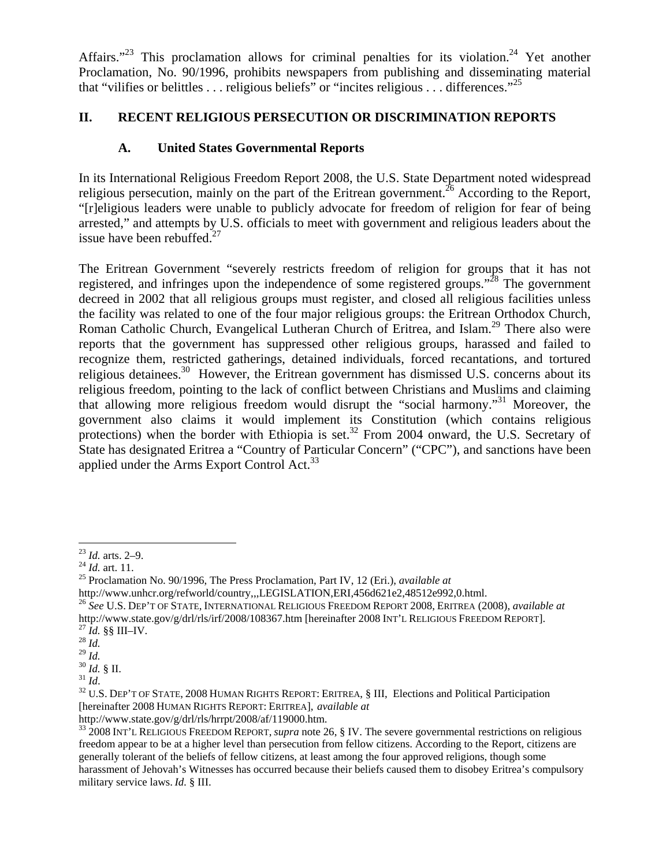Affairs."<sup>23</sup> This proclamation allows for criminal penalties for its violation.<sup>24</sup> Yet another Proclamation, No. 90/1996, prohibits newspapers from publishing and disseminating material that "vilifies or belittles ... religious beliefs" or "incites religious ... differences."<sup>25</sup>

## **II. RECENT RELIGIOUS PERSECUTION OR DISCRIMINATION REPORTS**

## **A. United States Governmental Reports**

In its International Religious Freedom Report 2008, the U.S. State Department noted widespread religious persecution, mainly on the part of the Eritrean government.<sup>26</sup> According to the Report, "[r]eligious leaders were unable to publicly advocate for freedom of religion for fear of being arrested," and attempts by U.S. officials to meet with government and religious leaders about the issue have been rebuffed.27

The Eritrean Government "severely restricts freedom of religion for groups that it has not registered, and infringes upon the independence of some registered groups."28 The government decreed in 2002 that all religious groups must register, and closed all religious facilities unless the facility was related to one of the four major religious groups: the Eritrean Orthodox Church, Roman Catholic Church, Evangelical Lutheran Church of Eritrea, and Islam.<sup>29</sup> There also were reports that the government has suppressed other religious groups, harassed and failed to recognize them, restricted gatherings, detained individuals, forced recantations, and tortured religious detainees.<sup>30</sup> However, the Eritrean government has dismissed U.S. concerns about its religious freedom, pointing to the lack of conflict between Christians and Muslims and claiming that allowing more religious freedom would disrupt the "social harmony."31 Moreover, the government also claims it would implement its Constitution (which contains religious protections) when the border with Ethiopia is set.<sup>32</sup> From 2004 onward, the U.S. Secretary of State has designated Eritrea a "Country of Particular Concern" ("CPC"), and sanctions have been applied under the Arms Export Control Act.<sup>33</sup>

 $^{23}$  *Id.* arts. 2–9.

<sup>24</sup> *Id.* art. 11.<br><sup>24</sup> *Id.* art. 11.<br><sup>25</sup> Proclamation No. 90/1996, The Press Proclamation, Part IV, 12 (Eri.), *available at* 

http://www.unhcr.org/refworld/country,,,LEGISLATION,ERI,456d621e2,48512e992,0.html. 26 *See* U.S. DEP'T OF STATE, INTERNATIONAL RELIGIOUS FREEDOM REPORT 2008, ERITREA (2008), *available at* http://www.state.gov/g/drl/rls/irf/2008/108367.htm [hereinafter 2008 INT'L RELIGIOUS FREEDOM REPORT].<br><sup>27</sup> *Id.* §§ III–IV.<br><sup>28</sup> *Id.* <sup>29</sup> *Id.* 

<sup>&</sup>lt;sup>30</sup> *Id.* § II.<br><sup>31</sup> *Id.*<br><sup>32</sup> U.S. DEP'T OF STATE, 2008 HUMAN RIGHTS REPORT: ERITREA, § III, Elections and Political Participation [hereinafter 2008 HUMAN RIGHTS REPORT: ERITREA], *available at*

http://www.state.gov/g/drl/rls/hrrpt/2008/af/119000.htm.<br><sup>33</sup> 2008 INT'L RELIGIOUS FREEDOM REPORT, *supra* note 26, § IV. The severe governmental restrictions on religious freedom appear to be at a higher level than persecution from fellow citizens. According to the Report, citizens are generally tolerant of the beliefs of fellow citizens, at least among the four approved religions, though some harassment of Jehovah's Witnesses has occurred because their beliefs caused them to disobey Eritrea's compulsory military service laws. *Id.* § III.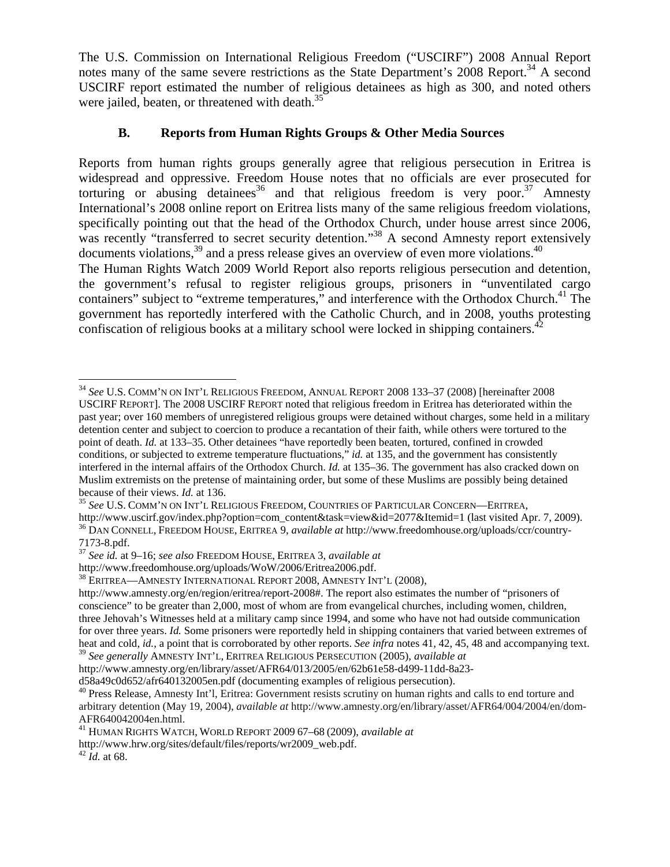The U.S. Commission on International Religious Freedom ("USCIRF") 2008 Annual Report notes many of the same severe restrictions as the State Department's 2008 Report.<sup>34</sup> A second USCIRF report estimated the number of religious detainees as high as 300, and noted others were jailed, beaten, or threatened with death.<sup>35</sup>

#### **B. Reports from Human Rights Groups & Other Media Sources**

Reports from human rights groups generally agree that religious persecution in Eritrea is widespread and oppressive. Freedom House notes that no officials are ever prosecuted for torturing or abusing detainees<sup>36</sup> and that religious freedom is very poor.<sup>37</sup> Amnesty International's 2008 online report on Eritrea lists many of the same religious freedom violations, specifically pointing out that the head of the Orthodox Church, under house arrest since 2006, was recently "transferred to secret security detention."<sup>38</sup> A second Amnesty report extensively documents violations,  $39$  and a press release gives an overview of even more violations.  $40$ The Human Rights Watch 2009 World Report also reports religious persecution and detention, the government's refusal to register religious groups, prisoners in "unventilated cargo containers" subject to "extreme temperatures," and interference with the Orthodox Church.<sup>41</sup> The government has reportedly interfered with the Catholic Church, and in 2008, youths protesting confiscation of religious books at a military school were locked in shipping containers.<sup>42</sup>

1

<sup>34</sup> *See* U.S. COMM'N ON INT'L RELIGIOUS FREEDOM, ANNUAL REPORT 2008 133–37 (2008) [hereinafter 2008 USCIRF REPORT]. The 2008 USCIRF REPORT noted that religious freedom in Eritrea has deteriorated within the past year; over 160 members of unregistered religious groups were detained without charges, some held in a military detention center and subject to coercion to produce a recantation of their faith, while others were tortured to the point of death. *Id.* at 133–35. Other detainees "have reportedly been beaten, tortured, confined in crowded conditions, or subjected to extreme temperature fluctuations," *id.* at 135, and the government has consistently interfered in the internal affairs of the Orthodox Church. *Id.* at 135–36. The government has also cracked down on Muslim extremists on the pretense of maintaining order, but some of these Muslims are possibly being detained

because of their views. *Id.* at 136.<br><sup>35</sup> *See* U.S. COMM'N ON INT'L RELIGIOUS FREEDOM, COUNTRIES OF PARTICULAR CONCERN—ERITREA,<br>http://www.uscirf.gov/index.php?option=com\_content&task=view&id=2077&Itemid=1 (last visited <sup>36</sup> DAN CONNELL, FREEDOM HOUSE, ERITREA 9, *available at* http://www.freedomhouse.org/uploads/ccr/country-7173-8.pdf.

<sup>37</sup> *See id.* at 9–16; *see also* FREEDOM HOUSE, ERITREA 3, *available at*

 $138$  Eritrea—Amnesty International Report 2008, Amnesty Int'l (2008),

http://www.amnesty.org/en/region/eritrea/report-2008#. The report also estimates the number of "prisoners of conscience" to be greater than 2,000, most of whom are from evangelical churches, including women, children, three Jehovah's Witnesses held at a military camp since 1994, and some who have not had outside communication for over three years. *Id.* Some prisoners were reportedly held in shipping containers that varied between extremes of heat and cold, *id.*, a point that is corroborated by other reports. *See infra* notes 41, 42, 45, 48 and accompanying text. <sup>39</sup> *See generally* AMNESTY INT'L, ERITREA RELIGIOUS PERSECUTION (2005), *available at*

http://www.amnesty.org/en/library/asset/AFR64/013/2005/en/62b61e58-d499-11dd-8a23-

d58a49c0d652/afr640132005en.pdf (documenting examples of religious persecution).

<sup>&</sup>lt;sup>40</sup> Press Release, Amnesty Int'l, Eritrea: Government resists scrutiny on human rights and calls to end torture and arbitrary detention (May 19, 2004), *available at* http://www.amnesty.org/en/library/asset/AFR64/004/2004/en/dom-AFR640042004en.html.

<sup>41</sup> HUMAN RIGHTS WATCH, WORLD REPORT 2009 67–68 (2009), *available at*

http://www.hrw.org/sites/default/files/reports/wr2009\_web.pdf. 42 *Id.* at 68.